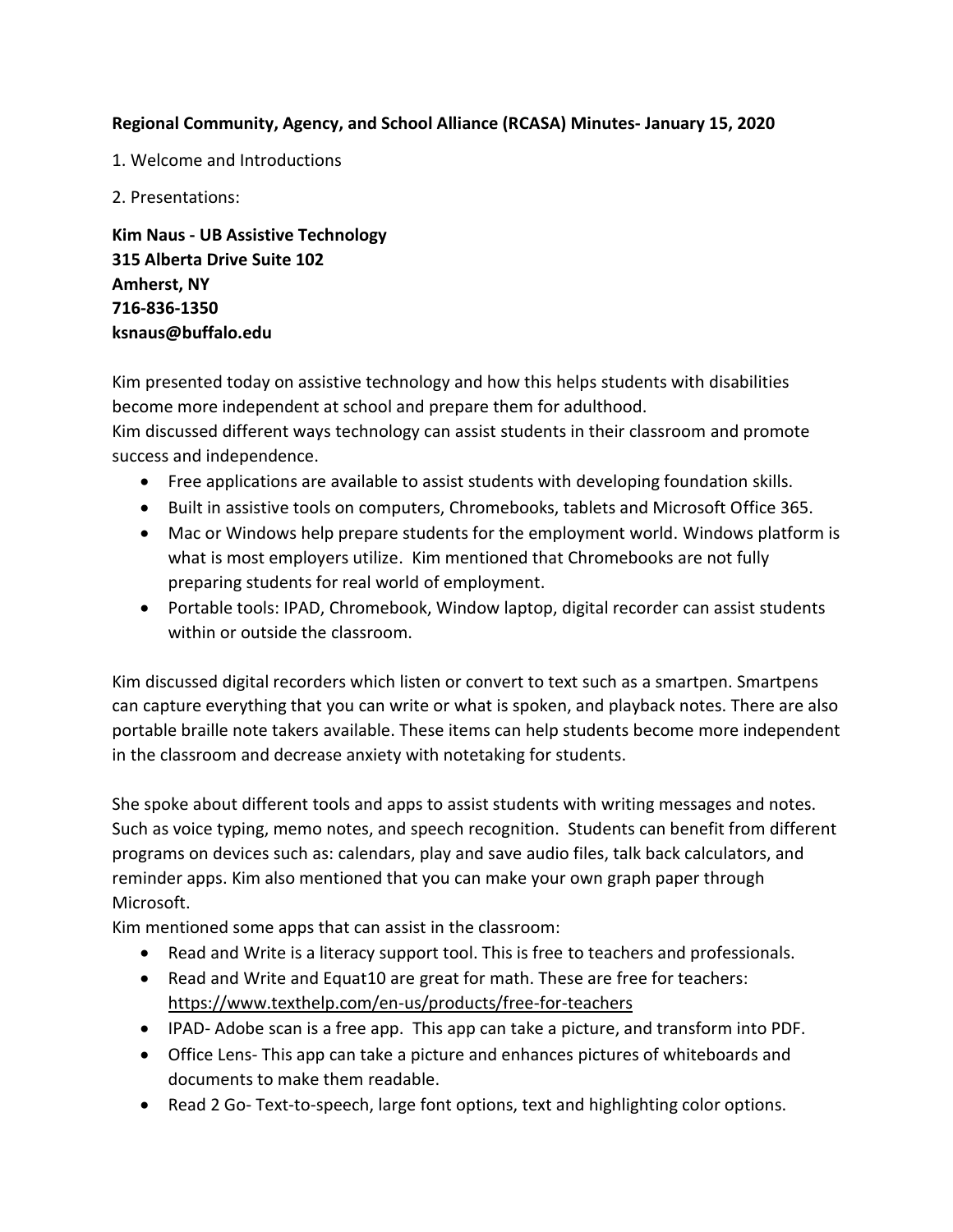## **Regional Community, Agency, and School Alliance (RCASA) Minutes- January 15, 2020**

- 1. Welcome and Introductions
- 2. Presentations:

**Kim Naus - UB Assistive Technology 315 Alberta Drive Suite 102 Amherst, NY 716-836-1350 ksnaus@buffalo.edu**

Kim presented today on assistive technology and how this helps students with disabilities become more independent at school and prepare them for adulthood. Kim discussed different ways technology can assist students in their classroom and promote success and independence.

- Free applications are available to assist students with developing foundation skills.
- Built in assistive tools on computers, Chromebooks, tablets and Microsoft Office 365.
- Mac or Windows help prepare students for the employment world. Windows platform is what is most employers utilize. Kim mentioned that Chromebooks are not fully preparing students for real world of employment.
- Portable tools: IPAD, Chromebook, Window laptop, digital recorder can assist students within or outside the classroom.

Kim discussed digital recorders which listen or convert to text such as a smartpen. Smartpens can capture everything that you can write or what is spoken, and playback notes. There are also portable braille note takers available. These items can help students become more independent in the classroom and decrease anxiety with notetaking for students.

She spoke about different tools and apps to assist students with writing messages and notes. Such as voice typing, memo notes, and speech recognition. Students can benefit from different programs on devices such as: calendars, play and save audio files, talk back calculators, and reminder apps. Kim also mentioned that you can make your own graph paper through Microsoft.

Kim mentioned some apps that can assist in the classroom:

- Read and Write is a literacy support tool. This is free to teachers and professionals.
- Read and Write and Equat10 are great for math. These are free for teachers: <https://www.texthelp.com/en-us/products/free-for-teachers>
- IPAD- Adobe scan is a free app. This app can take a picture, and transform into PDF.
- Office Lens- This app can take a picture and enhances pictures of whiteboards and documents to make them readable.
- Read 2 Go- Text-to-speech, large font options, text and highlighting color options.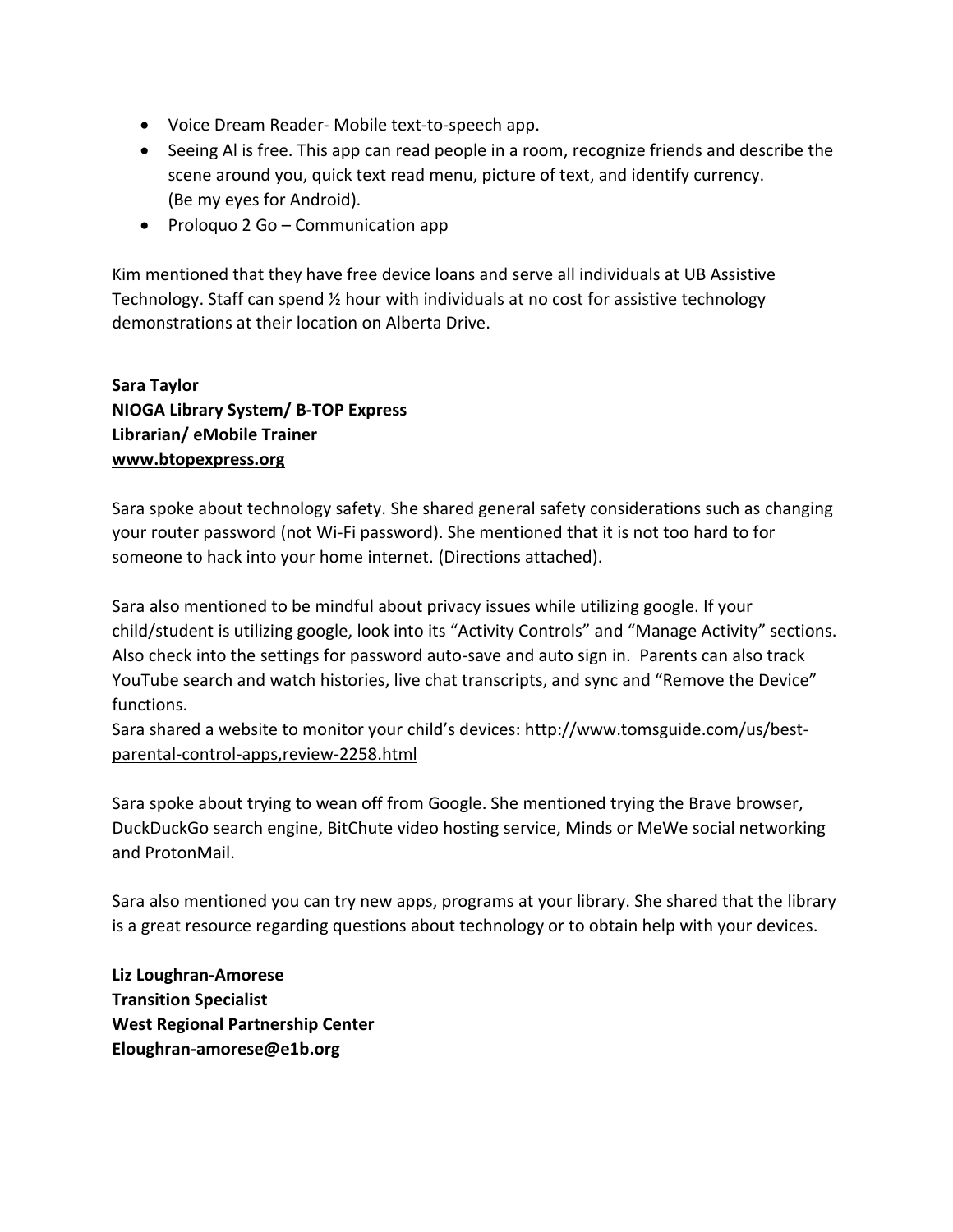- Voice Dream Reader- Mobile text-to-speech app.
- Seeing Al is free. This app can read people in a room, recognize friends and describe the scene around you, quick text read menu, picture of text, and identify currency. (Be my eyes for Android).
- Proloquo 2 Go Communication app

Kim mentioned that they have free device loans and serve all individuals at UB Assistive Technology. Staff can spend ½ hour with individuals at no cost for assistive technology demonstrations at their location on Alberta Drive.

## **Sara Taylor NIOGA Library System/ B-TOP Express Librarian/ eMobile Trainer [www.btopexpress.org](http://www.btopexpress.org/)**

Sara spoke about technology safety. She shared general safety considerations such as changing your router password (not Wi-Fi password). She mentioned that it is not too hard to for someone to hack into your home internet. (Directions attached).

Sara also mentioned to be mindful about privacy issues while utilizing google. If your child/student is utilizing google, look into its "Activity Controls" and "Manage Activity" sections. Also check into the settings for password auto-save and auto sign in. Parents can also track YouTube search and watch histories, live chat transcripts, and sync and "Remove the Device" functions.

Sara shared a website to monitor your child's devices: http://www.tomsguide.com/us/bestparental-control-apps,review-2258.html

Sara spoke about trying to wean off from Google. She mentioned trying the Brave browser, DuckDuckGo search engine, BitChute video hosting service, Minds or MeWe social networking and ProtonMail.

Sara also mentioned you can try new apps, programs at your library. She shared that the library is a great resource regarding questions about technology or to obtain help with your devices.

**Liz Loughran-Amorese Transition Specialist West Regional Partnership Center Eloughran-amorese@e1b.org**